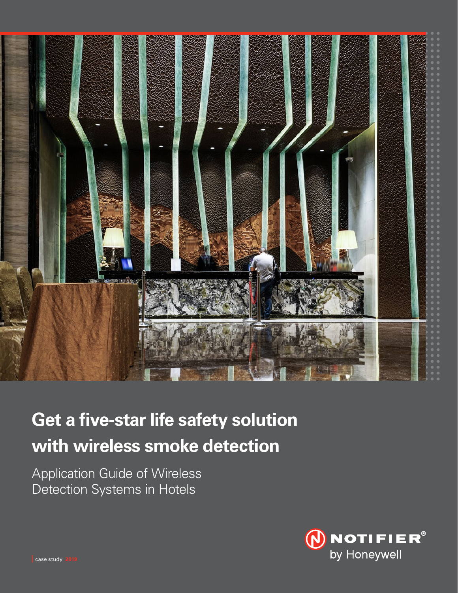

# **Get a five-star life safety solution with wireless smoke detection**

Application Guide of Wireless Detection Systems in Hotels



case study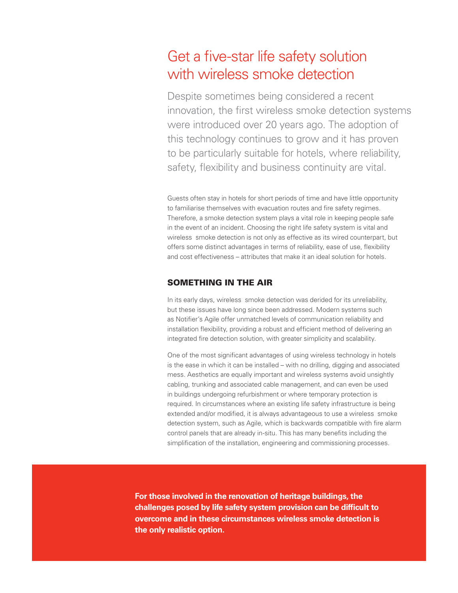# Get a five-star life safety solution with wireless smoke detection

Despite sometimes being considered a recent innovation, the first wireless smoke detection systems were introduced over 20 years ago. The adoption of this technology continues to grow and it has proven to be particularly suitable for hotels, where reliability, safety, flexibility and business continuity are vital.

Guests often stay in hotels for short periods of time and have little opportunity to familiarise themselves with evacuation routes and fire safety regimes. Therefore, a smoke detection system plays a vital role in keeping people safe in the event of an incident. Choosing the right life safety system is vital and wireless smoke detection is not only as effective as its wired counterpart, but offers some distinct advantages in terms of reliability, ease of use, flexibility and cost effectiveness – attributes that make it an ideal solution for hotels.

#### SOMETHING IN THE AIR

In its early days, wireless smoke detection was derided for its unreliability, but these issues have long since been addressed. Modern systems such as Notifier's Agile offer unmatched levels of communication reliability and installation flexibility, providing a robust and efficient method of delivering an integrated fire detection solution, with greater simplicity and scalability.

One of the most significant advantages of using wireless technology in hotels is the ease in which it can be installed – with no drilling, digging and associated mess. Aesthetics are equally important and wireless systems avoid unsightly cabling, trunking and associated cable management, and can even be used in buildings undergoing refurbishment or where temporary protection is required. In circumstances where an existing life safety infrastructure is being extended and/or modified, it is always advantageous to use a wireless smoke detection system, such as Agile, which is backwards compatible with fire alarm control panels that are already in-situ. This has many benefits including the simplification of the installation, engineering and commissioning processes.

**For those involved in the renovation of heritage buildings, the challenges posed by life safety system provision can be difficult to overcome and in these circumstances wireless smoke detection is the only realistic option.**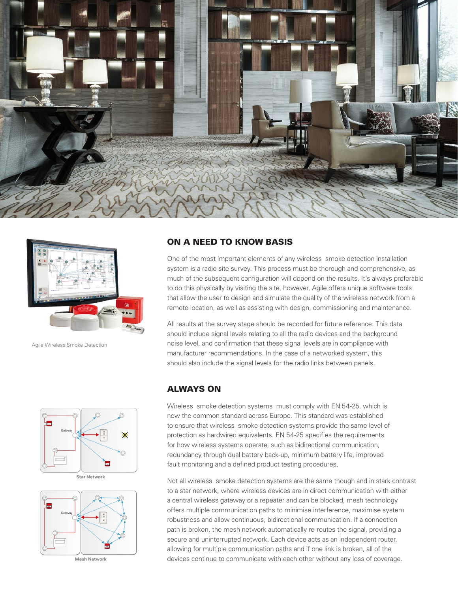



Agile Wireless Smoke Detection



**Star Network**



**Mesh Network**

#### ON A NEED TO KNOW BASIS

One of the most important elements of any wireless smoke detection installation system is a radio site survey. This process must be thorough and comprehensive, as much of the subsequent configuration will depend on the results. It's always preferable to do this physically by visiting the site, however, Agile offers unique software tools that allow the user to design and simulate the quality of the wireless network from a remote location, as well as assisting with design, commissioning and maintenance.

All results at the survey stage should be recorded for future reference. This data should include signal levels relating to all the radio devices and the background noise level, and confirmation that these signal levels are in compliance with manufacturer recommendations. In the case of a networked system, this should also include the signal levels for the radio links between panels.

## ALWAYS ON

Wireless smoke detection systems must comply with EN 54-25, which is now the common standard across Europe. This standard was established to ensure that wireless smoke detection systems provide the same level of protection as hardwired equivalents. EN 54-25 specifies the requirements for how wireless systems operate, such as bidirectional communication, redundancy through dual battery back-up, minimum battery life, improved fault monitoring and a defined product testing procedures.

Not all wireless smoke detection systems are the same though and in stark contrast to a star network, where wireless devices are in direct communication with either a central wireless gateway or a repeater and can be blocked, mesh technology offers multiple communication paths to minimise interference, maximise system robustness and allow continuous, bidirectional communication. If a connection path is broken, the mesh network automatically re-routes the signal, providing a secure and uninterrupted network. Each device acts as an independent router, allowing for multiple communication paths and if one link is broken, all of the devices continue to communicate with each other without any loss of coverage.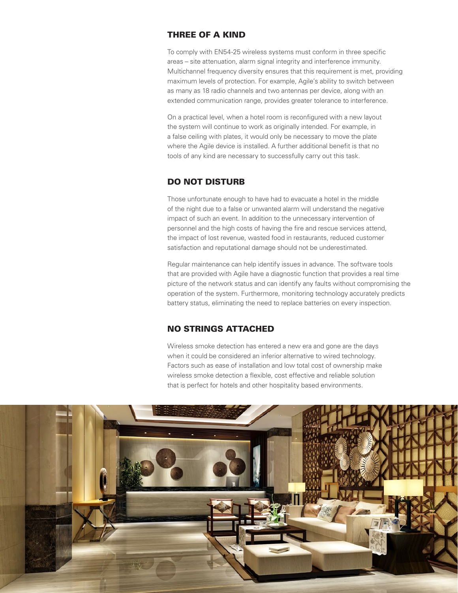# THREE OF A KIND

To comply with EN54-25 wireless systems must conform in three specific areas – site attenuation, alarm signal integrity and interference immunity. Multichannel frequency diversity ensures that this requirement is met, providing maximum levels of protection. For example, Agile's ability to switch between as many as 18 radio channels and two antennas per device, along with an extended communication range, provides greater tolerance to interference.

On a practical level, when a hotel room is reconfigured with a new layout the system will continue to work as originally intended. For example, in a false ceiling with plates, it would only be necessary to move the plate where the Agile device is installed. A further additional benefit is that no tools of any kind are necessary to successfully carry out this task.

# DO NOT DISTURB

Those unfortunate enough to have had to evacuate a hotel in the middle of the night due to a false or unwanted alarm will understand the negative impact of such an event. In addition to the unnecessary intervention of personnel and the high costs of having the fire and rescue services attend, the impact of lost revenue, wasted food in restaurants, reduced customer satisfaction and reputational damage should not be underestimated.

Regular maintenance can help identify issues in advance. The software tools that are provided with Agile have a diagnostic function that provides a real time picture of the network status and can identify any faults without compromising the operation of the system. Furthermore, monitoring technology accurately predicts battery status, eliminating the need to replace batteries on every inspection.

### NO STRINGS ATTACHED

Wireless smoke detection has entered a new era and gone are the days when it could be considered an inferior alternative to wired technology. Factors such as ease of installation and low total cost of ownership make wireless smoke detection a flexible, cost effective and reliable solution that is perfect for hotels and other hospitality based environments.